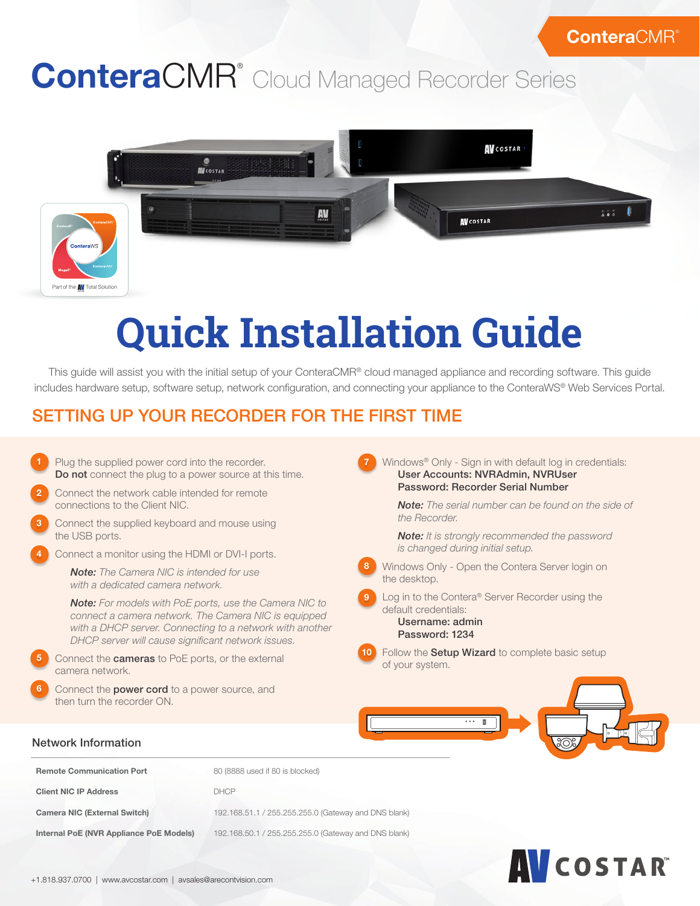# ConteraCMR<sup>®</sup> Cloud Managed Recorder Series



# **Quick Installation Guide**

This guide will assist you with the initial setup of your ConteraCMR® cloud managed appliance and recording software. This guide includes hardware setup, software setup, network configuration, and connecting your appliance to the ConteraWS® Web Services Portal.

# SETTING UP YOUR RECORDER FOR THE FIRST TIME

Plug the supplied power cord into the recorder. Do not connect the plug to a power source at this time. Connect the network cable intended for remote connections to the Client NIC. Connect the supplied keyboard and mouse using the USB ports. Connect a monitor using the HDMI or DVI-I ports. *Note: The Camera NIC is intended for use with a dedicated camera network. Note: For models with PoE ports, use the Camera NIC to connect a camera network. The Camera NIC is equipped with a DHCP server. Connecting to a network with another DHCP server will cause significant network issues.* Connect the cameras to PoE ports, or the external camera network. Connect the power cord to a power source, and then turn the recorder ON. Windows® Only - Sign in with default log in credentials: User Accounts: NVRAdmin, NVRUser Password: Recorder Serial Number *Note: The serial number can be found on the side of the Recorder. Note: It is strongly recommended the password is changed during initial setup.* Windows Only - Open the Contera Server login on the desktop. Log in to the Contera® Server Recorder using the default credentials: Username: admin Password: 1234 Follow the **Setup Wizard** to complete basic setup of your system. Network Information 2 3 4 5 6 7 8 9 10

| <b>Remote Communication Port</b>        | 80 (8888 used if 80 is blocked)                      |
|-----------------------------------------|------------------------------------------------------|
| <b>Client NIC IP Address</b>            | <b>DHCP</b>                                          |
| <b>Camera NIC (External Switch)</b>     | 192.168.51.1 / 255.255.255.0 (Gateway and DNS blank) |
| Internal PoE (NVR Appliance PoE Models) | 192.168.50.1 / 255.255.255.0 (Gateway and DNS blank) |

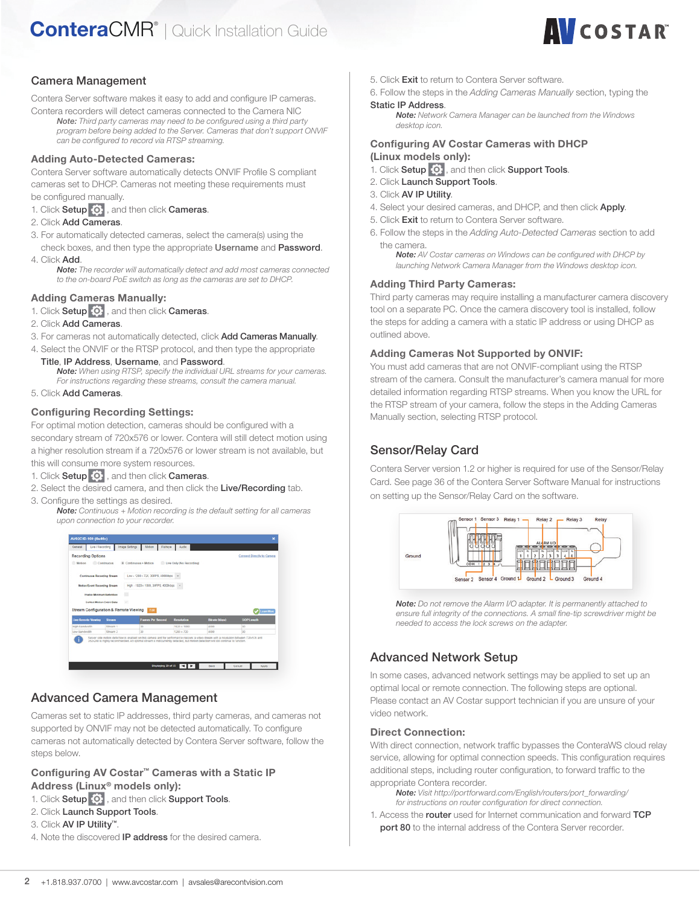# **AV**COSTAR®

# Camera Management

Contera Server software makes it easy to add and configure IP cameras.

Contera recorders will detect cameras connected to the Camera NIC *Note: Third party cameras may need to be configured using a third party program before being added to the Server. Cameras that don't support ONVIF can be configured to record via RTSP streaming.*

#### Adding Auto-Detected Cameras:

Contera Server software automatically detects ONVIF Profile S compliant cameras set to DHCP. Cameras not meeting these requirements must be configured manually.

- 1. Click Setup  $\overline{\bullet}$ , and then click Cameras.
- 2. Click Add Cameras.
- 3. For automatically detected cameras, select the camera(s) using the
- check boxes, and then type the appropriate Username and Password. 4. Click Add.
	- *Note: The recorder will automatically detect and add most cameras connected to the on-board PoE switch as long as the cameras are set to DHCP.*

#### Adding Cameras Manually:

1. Click Setup  $\overline{O}$ , and then click Cameras.

- 2. Click Add Cameras.
- 3. For cameras not automatically detected, click Add Cameras Manually.
- 4. Select the ONVIF or the RTSP protocol, and then type the appropriate
	- Title, IP Address, Username, and Password. *Note: When using RTSP, specify the individual URL streams for your cameras.*

*For instructions regarding these streams, consult the camera manual.* 5. Click Add Cameras.

#### Configuring Recording Settings:

For optimal motion detection, cameras should be configured with a secondary stream of 720x576 or lower. Contera will still detect motion using a higher resolution stream if a 720x576 or lower stream is not available, but this will consume more system resources.

- 1. Click Setup  $\overline{\mathbf{Q}}$ , and then click Cameras.
- 2. Select the desired camera, and then click the Live/Recording tab.
- 3. Configure the settings as desired.
	- *Note: Continuous + Motion recording is the default setting for all cameras upon connection to your recorder.*



# Advanced Camera Management

Cameras set to static IP addresses, third party cameras, and cameras not supported by ONVIF may not be detected automatically. To configure cameras not automatically detected by Contera Server software, follow the steps below.

# Configuring AV Costar™ Cameras with a Static IP Address (Linux® models only):

- 1. Click Setup  $\left| \bullet \right|$ , and then click Support Tools.
- 2. Click Launch Support Tools.
- 3. Click AV IP Utility™.
- 4. Note the discovered IP address for the desired camera.
- 5. Click Exit to return to Contera Server software.
- 6. Follow the steps in the *Adding Cameras Manually* section, typing the Static IP Address.

*Note: Network Camera Manager can be launched from the Windows desktop icon.*

#### Configuring AV Costar Cameras with DHCP (Linux models only):

- 1. Click Setup  $\left| \bullet \right|$ , and then click Support Tools.
- 2. Click Launch Support Tools.
- 3. Click AV IP Utility.
- 4. Select your desired cameras, and DHCP, and then click Apply.
- 5. Click Exit to return to Contera Server software.
- 6. Follow the steps in the *Adding Auto-Detected Cameras* section to add the camera.

*Note: AV Costar cameras on Windows can be configured with DHCP by launching Network Camera Manager from the Windows desktop icon.*

#### Adding Third Party Cameras:

Third party cameras may require installing a manufacturer camera discovery tool on a separate PC. Once the camera discovery tool is installed, follow the steps for adding a camera with a static IP address or using DHCP as outlined above.

#### Adding Cameras Not Supported by ONVIF:

You must add cameras that are not ONVIF-compliant using the RTSP stream of the camera. Consult the manufacturer's camera manual for more detailed information regarding RTSP streams. When you know the URL for the RTSP stream of your camera, follow the steps in the Adding Cameras Manually section, selecting RTSP protocol.

# Sensor/Relay Card

Contera Server version 1.2 or higher is required for use of the Sensor/Relay Card. See page 36 of the Contera Server Software Manual for instructions on setting up the Sensor/Relay Card on the software.



*Note: Do not remove the Alarm I/O adapter. It is permanently attached to ensure full integrity of the connections. A small fine-tip screwdriver might be needed to access the lock screws on the adapter.*

# Advanced Network Setup

In some cases, advanced network settings may be applied to set up an optimal local or remote connection. The following steps are optional. Please contact an AV Costar support technician if you are unsure of your video network.

#### Direct Connection:

With direct connection, network traffic bypasses the ConteraWS cloud relay service, allowing for optimal connection speeds. This configuration requires additional steps, including router configuration, to forward traffic to the appropriate Contera recorder.

*Note: Visit http://portforward.com/English/routers/port\_forwarding/ for instructions on router configuration for direct connection.*

1. Access the router used for Internet communication and forward TCP **port 80** to the internal address of the Contera Server recorder.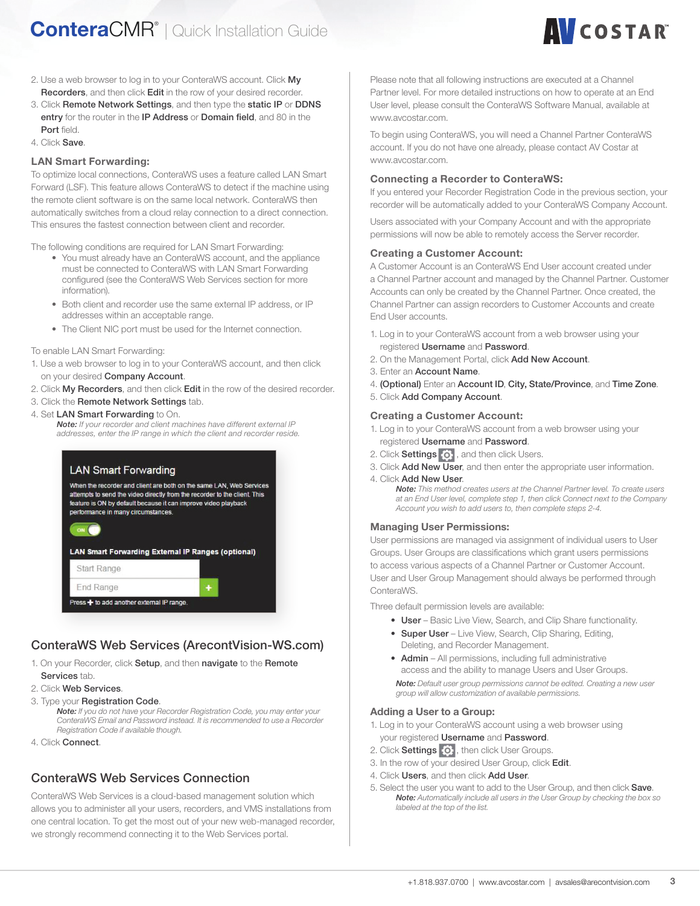

- 2. Use a web browser to log in to your ConteraWS account. Click My Recorders, and then click Edit in the row of your desired recorder.
- 3. Click Remote Network Settings, and then type the static IP or DDNS entry for the router in the IP Address or Domain field, and 80 in the Port field.
- 4. Click Save.

#### LAN Smart Forwarding:

To optimize local connections, ConteraWS uses a feature called LAN Smart Forward (LSF). This feature allows ConteraWS to detect if the machine using the remote client software is on the same local network. ConteraWS then automatically switches from a cloud relay connection to a direct connection. This ensures the fastest connection between client and recorder.

The following conditions are required for LAN Smart Forwarding:

- You must already have an ConteraWS account, and the appliance must be connected to ConteraWS with LAN Smart Forwarding configured (see the ConteraWS Web Services section for more information).
- Both client and recorder use the same external IP address, or IP addresses within an acceptable range.
- The Client NIC port must be used for the Internet connection.

To enable LAN Smart Forwarding:

- 1. Use a web browser to log in to your ConteraWS account, and then click on your desired Company Account.
- 2. Click My Recorders, and then click Edit in the row of the desired recorder.
- 3. Click the Remote Network Settings tab.
- 4. Set LAN Smart Forwarding to On.

*Note: If your recorder and client machines have different external IP addresses, enter the IP range in which the client and recorder reside.*



# ConteraWS Web Services (ArecontVision-WS.com)

1. On your Recorder, click Setup, and then navigate to the Remote Services tab.

- 2. Click Web Services.
- 3. Type your Registration Code.

*Note: If you do not have your Recorder Registration Code, you may enter your ConteraWS Email and Password instead. It is recommended to use a Recorder Registration Code if available though.*

4. Click Connect.

# ConteraWS Web Services Connection

ConteraWS Web Services is a cloud-based management solution which allows you to administer all your users, recorders, and VMS installations from one central location. To get the most out of your new web-managed recorder, we strongly recommend connecting it to the Web Services portal.

Please note that all following instructions are executed at a Channel Partner level. For more detailed instructions on how to operate at an End User level, please consult the ConteraWS Software Manual, available at www.avcostar.com.

To begin using ConteraWS, you will need a Channel Partner ConteraWS account. If you do not have one already, please contact AV Costar at www.avcostar.com.

#### Connecting a Recorder to ConteraWS:

If you entered your Recorder Registration Code in the previous section, your recorder will be automatically added to your ConteraWS Company Account.

Users associated with your Company Account and with the appropriate permissions will now be able to remotely access the Server recorder.

#### Creating a Customer Account:

A Customer Account is an ConteraWS End User account created under a Channel Partner account and managed by the Channel Partner. Customer Accounts can only be created by the Channel Partner. Once created, the Channel Partner can assign recorders to Customer Accounts and create End User accounts.

- 1. Log in to your ConteraWS account from a web browser using your registered Username and Password.
- 2. On the Management Portal, click Add New Account.
- 3. Enter an Account Name.
- 4. (Optional) Enter an Account ID, City, State/Province, and Time Zone.
- 5. Click Add Company Account.

#### Creating a Customer Account:

- 1. Log in to your ConteraWS account from a web browser using your registered Username and Password.
- 2. Click Settings  $\overline{\textbf{Q}}$ , and then click Users.
- 3. Click Add New User, and then enter the appropriate user information.

4. Click Add New User. *Note: This method creates users at the Channel Partner level. To create users at an End User level, complete step 1, then click Connect next to the Company Account you wish to add users to, then complete steps 2-4.*

#### Managing User Permissions:

User permissions are managed via assignment of individual users to User Groups. User Groups are classifications which grant users permissions to access various aspects of a Channel Partner or Customer Account. User and User Group Management should always be performed through ConteraWS.

Three default permission levels are available:

- User Basic Live View, Search, and Clip Share functionality.
- Super User Live View, Search, Clip Sharing, Editing, Deleting, and Recorder Management.
- Admin All permissions, including full administrative access and the ability to manage Users and User Groups. *Note: Default user group permissions cannot be edited. Creating a new user group will allow customization of available permissions.*

#### Adding a User to a Group:

- 1. Log in to your ConteraWS account using a web browser using your registered Username and Password.
- 2. Click Settings  $\overline{Q}$ , then click User Groups.
- 3. In the row of your desired User Group, click Edit.
- 4. Click Users, and then click Add User.
- 5. Select the user you want to add to the User Group, and then click Save. *Note: Automatically include all users in the User Group by checking the box so labeled at the top of the list.*